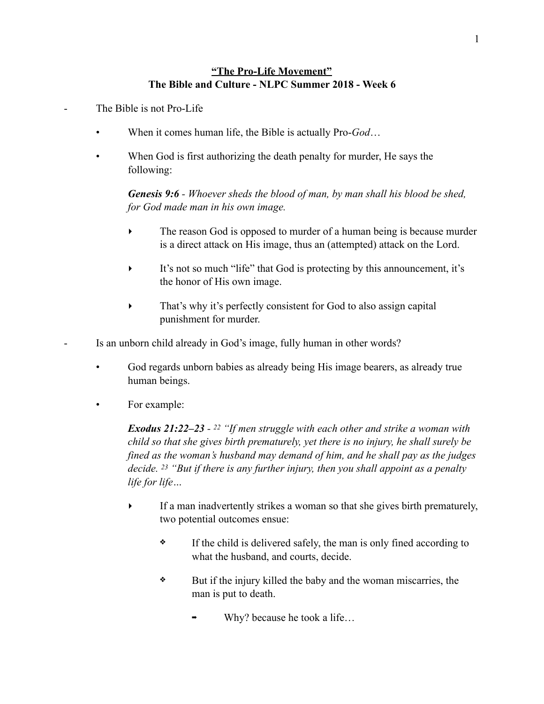## **"The Pro-Life Movement" The Bible and Culture - NLPC Summer 2018 - Week 6**

The Bible is not Pro-Life

- When it comes human life, the Bible is actually Pro-*God*…
- When God is first authorizing the death penalty for murder, He says the following:

*Genesis 9:6 - Whoever sheds the blood of man, by man shall his blood be shed, for God made man in his own image.* 

- The reason God is opposed to murder of a human being is because murder is a direct attack on His image, thus an (attempted) attack on the Lord.
- ‣ It's not so much "life" that God is protecting by this announcement, it's the honor of His own image.
- That's why it's perfectly consistent for God to also assign capital punishment for murder.

Is an unborn child already in God's image, fully human in other words?

- God regards unborn babies as already being His image bearers, as already true human beings.
- For example:

*Exodus 21:22–23 - 22 "If men struggle with each other and strike a woman with child so that she gives birth prematurely, yet there is no injury, he shall surely be fined as the woman's husband may demand of him, and he shall pay as the judges decide. 23 "But if there is any further injury, then you shall appoint as a penalty life for life…* 

- ‣ If a man inadvertently strikes a woman so that she gives birth prematurely, two potential outcomes ensue:
	- ❖ If the child is delivered safely, the man is only fined according to what the husband, and courts, decide.
	- ❖ But if the injury killed the baby and the woman miscarries, the man is put to death.
		- Why? because he took a life...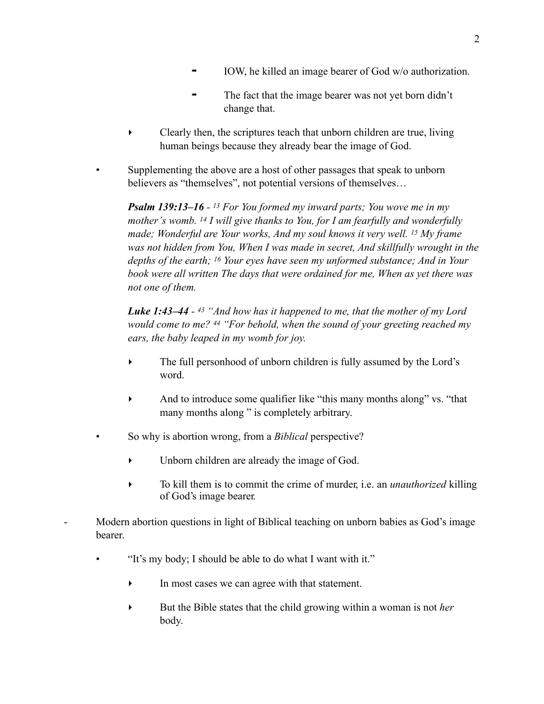- IOW, he killed an image bearer of God w/o authorization.
- ➡ The fact that the image bearer was not yet born didn't change that.
- ‣ Clearly then, the scriptures teach that unborn children are true, living human beings because they already bear the image of God.
- Supplementing the above are a host of other passages that speak to unborn believers as "themselves", not potential versions of themselves…

*Psalm 139:13–16 - 13 For You formed my inward parts; You wove me in my mother's womb. 14 I will give thanks to You, for I am fearfully and wonderfully made; Wonderful are Your works, And my soul knows it very well. 15 My frame was not hidden from You, When I was made in secret, And skillfully wrought in the depths of the earth; 16 Your eyes have seen my unformed substance; And in Your book were all written The days that were ordained for me, When as yet there was not one of them.* 

*Luke 1:43–44 - 43 "And how has it happened to me, that the mother of my Lord would come to me? 44 "For behold, when the sound of your greeting reached my ears, the baby leaped in my womb for joy.* 

- The full personhood of unborn children is fully assumed by the Lord's word.
- And to introduce some qualifier like "this many months along" vs. "that many months along " is completely arbitrary.
- So why is abortion wrong, from a *Biblical* perspective?
	- ‣ Unborn children are already the image of God.
	- To kill them is to commit the crime of murder, i.e. an *unauthorized* killing of God's image bearer.  $\blacktriangleright$
- Modern abortion questions in light of Biblical teaching on unborn babies as God's image bearer.
	- "It's my body; I should be able to do what I want with it."
		- In most cases we can agree with that statement.
		- ‣ But the Bible states that the child growing within a woman is not *her* body.